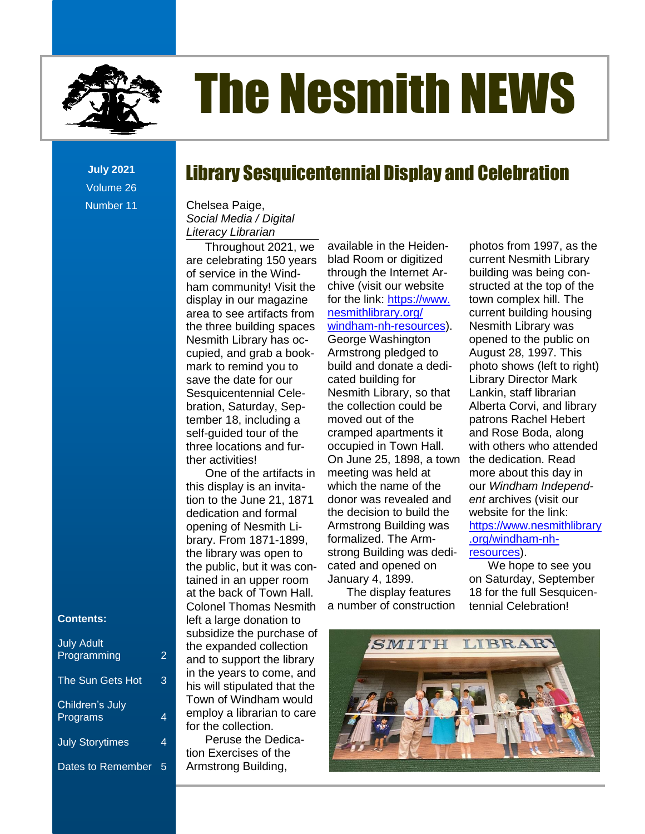

# The Nesmith NEWS

Library Sesquicentennial Display and Celebration

**July 2021** Volume 26 Number 11

#### Social Media / Digital news in News, 1999, 1999, 1999, 1999, 1999, 1999, 1999, 1999, 1999, 1999, 1999, 1999, 1999, 1999, 1999, 1999, 1 Chelsea Paige, *Literacy Librarian*

**Contents** bration, Saturday, Sep-Throughout 2021, we are celebrating 150 years of service in the Windham community! Visit the display in our magazine area to see artifacts from the three building spaces Nesmith Library has occupied, and grab a bookmark to remind you to save the date for our Sesquicentennial Celeself-guided tour of the three locations and further activities!

the public, but it was con-One of the artifacts in this display is an invitation to the June 21, 1871 dedication and formal opening of Nesmith Library. From 1871-1899, the library was open to tained in an upper room at the back of Town Hall. Colonel Thomas Nesmith left a large donation to subsidize the purchase of the expanded collection and to support the library in the years to come, and his will stipulated that the Town of Windham would employ a librarian to care for the collection.

Peruse the Dedication Exercises of the Armstrong Building,

available in the Heidenblad Room or digitized through the Internet Arnesmithlibrary.org/ Armstrong pledged to build and donate a dedicated building for Nesmith Library, so that the collection could be moved out of the occupied in Town Hall. meeting was held at which the name of the Armstrong Building was strong Building was dedicated and opened on January 4, 1899.

The display features a number of construction

community! Visit the chive (visit our website structed at the top of the iy in our magazine for the link: <u>https://www.</u> town complex hill. The ree building spaces windham-nh-resources). Nesmith Library was Tod ballanty spaces **The Remarkation in the controller** opened to the public on<br>ith Library has oc- George Washington opened to the public on uided tour of the cramped apartments it and Rose Boda, along recements and the latter the control on June 25, 1898, a town the dedication. Read the June 21, 1871 donor was revealed and ent archives (visit our ation and formal the decision to build the website for the link: From 1871-1899, formalized. The Arm- state org/windham-nhnroughout 2021, we available in the Heiden- photos from 1997, as the elebrating 150 years blad Room or digitized current Nesmith Library new Litting issues that the contract the contract of the United of the Wind-<br>vice in the Wind-<br>Notice in the Windstructed at the top of the town complex hill. The to see artifacts from *nesmithlibrary.org/* current building housing Nesmith Library was ith Library has oc-<br>George Washington opened to the public on August 28, 1997. This [Dates to Remember............................................................................................................................................................................](file:///C:/Users/Joyce/Documents/Nesmith/2013/Feb%202013/NN02_13.doc%23_Toc347430559) 2 photo shows (left to right) Library Director Mark Lankin, staff librarian Alberta Corvi, and library patrons Rachel Hebert and Rose Boda, along locations and fur- occupied in Town Hall. with others who attended the dedication. Read more about this day in isplay is an invita- which the name of the cour Windham Independ*ent* archives (visit our website for the link: ahoff and formar The accessory Time and the Treasure of the minimum and formar<br>ng of Nesmith Li- Armstrong Building was [https://www.nesmithlibrary](https://www.nesmithlibrary.org/windham-nh-resources) .org/windham-nh[resources\)](https://www.nesmithlibrary.org/windham-nh-resources). sice in the winds and definition income of the bounding was being contember 18, including a moved out of the strip atrons Rachel Hebert [s...........................................................................................................................................................](file:///C:/Users/Joyce/Documents/Nesmith/2013/Feb%202013/NN02_13.doc%23_Toc347430582)**Error! Bookmark not defined.** ne of the artifacts in Theeting was held at The Hilore about this day in [New Non-Fiction Titles in the Children's Room....................................................................................](file:///C:/Users/Joyce/Documents/Nesmith/2013/Feb%202013/NN02_13.doc%23_Toc347430588)**Error! Bookmark not defined.**

We hope to see you on Saturday, September 18 for the full Sesquicentennial Celebration!



#### **Contents:**

| <b>July Adult</b><br>Programming | 2 |
|----------------------------------|---|
| The Sun Gets Hot                 | 3 |
| Children's July<br>Programs      | 4 |
| <b>July Storytimes</b>           | 4 |
| <b>Dates to Remember</b>         | 5 |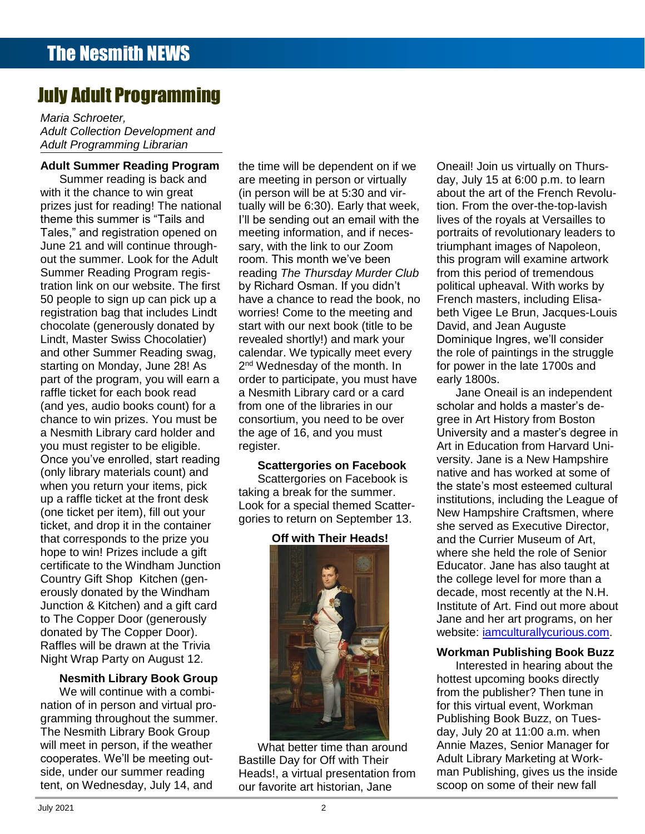## July Adult Programming

**Contents** *Adult Programming Librarian Maria Schroeter, Adult Collection Development and* 

#### **Adult Summer Reading Program**

chocolate (generously donated by when you return your items, pick<br>up a reflection of the front dook Summer reading is back and with it the chance to win great prizes just for reading! The national theme this summer is "Tails and Tales," and registration opened on June 21 and will continue throughout the summer. Look for the Adult Summer Reading Program registration link on our website. The first 50 people to sign up can pick up a registration bag that includes Lindt Lindt, Master Swiss Chocolatier) and other Summer Reading swag, starting on Monday, June 28! As part of the program, you will earn a raffle ticket for each book read chance to win prizes. You must be a Nesmith Library card holder and you must register to be eligible. Once you've enrolled, start reading (only library materials count) and up a raffle ticket at the front desk (one ticket per item), fill out your ticket, and drop it in the container that corresponds to the prize you hope to win! Prizes include a gift certificate to the Windham Junction Country Gift Shop Kitchen (generously donated by the Windham Junction & Kitchen) and a gift card to The Copper Door (generously donated by The Copper Door). Raffles will be drawn at the Trivia Night Wrap Party on August 12.

#### **Nesmith Library Book Group**

We will continue with a combination of in person and virtual programming throughout the summer. The Nesmith Library Book Group will meet in person, if the weather cooperates. We'll be meeting outside, under our summer reading tent, on Wednesday, July 14, and

ummer reading is back and are meeting in person or virtually day, July 15 at 6:00 p.m. to learn t the chance to win great (in person will be at 5:30 and vir- about the art of the French Revolu[s...........................................................................................................................................................](file:///C:/Users/Joyce/Documents/Nesmith/2013/Feb%202013/NN02_13.doc%23_Toc347430552)**Error! Bookmark not defined.** s just for reading! The national tually will be 6:30). Early that week, tion. From the over-the-top-lavish e this summer is "Tails and I'll be sending out an email with the Iives of the royals at Versailles to s," and registration opened on meeting information, and if neces- portraits of revolutionary leaders to 21 and will continue through-<br>sary, with the link to our Zoom butil manges of Napoleon, le summer. Look for the Adult room. This month we've been this program will examine artwork New Non-Fiction Titles in the Children's Room [...................................................................................](file:///C:/Users/Joyce/Documents/Nesmith/2013/Feb%202013/NN02_13.doc%23_Toc347430558)**Error! Bookmark not defined.** mer Reading Program regis- reading The Thursday Murder Club from this period of tremendous dt, Master Swiss Chocolatier) crevealed shortly!) and mark your comminique Ingres, we'll consider ther Summer Reading swag, calendar. We typically meet every the role of paintings in the struggle ng on Monday, June 28! As  $2<sup>nd</sup>$  Wednesday of the month. In for power in the late 1700s and of the program, you will earn a corder to participate, you must have carly 1800s. ticket for each book read a Nesmith Library card or a card Jane Oneail is an independent The Referrence Corners and a structure corner and the state of a card to a card to define the state of each our<br>The State One of the libraries in our scholar and holds a master's de-(and yes, audio books count) for a infrom one of the libraries in our incontriant and holds a master's dece to win prizes. You must be consortium, you need to be over yere in Art History from Boston smith Library card holder and the age of 16, and you must **Example 10** University and a master's degree in the time will be dependent on if we are meeting in person or virtually (in person will be at 5:30 and virmeeting information, and if necessary, with the link to our Zoom room. This month we've been by Richard Osman. If you didn't have a chance to read the book, no worries! Come to the meeting and start with our next book (title to be revealed shortly!) and mark your calendar. We typically meet every from one of the libraries in our the age of 16, and you must register.

Scattergories on Facebook is taking a break for the summer. Look for a special themed Scattergories to return on September 13.

#### **Off with Their Heads!**



What better time than around Bastille Day for Off with Their Heads!, a virtual presentation from our favorite art historian, Jane

The News and News and News and News and News and News and News and News and News and News and News and News and t Summer Reading Program the time will be dependent on if we Oneail! Join us virtually on Thurstion. From the over-the-top-lavish lives of the royals at Versailles to from this period of tremendous political upheaval. With works by French masters, including Elisabeth Vigee Le Brun, Jacques-Louis David, and Jean Auguste for power in the late 1700s and early 1800s.

nust register to be eligible. The register. The article of the Contraction from Harvard Uni-New York II Laddaton Hom harvard on.<br>you've enrolled, start reading **Sectter agries on Escephony** versity. Jane is a New Hampshire  $\frac{1}{2}$  because the contract of the set of the set of the set of the set of the set of the set of the set of the set of the set of the set of the set of the set of the set of the set of the set of the set of the set of Jane Oneail is an independent gree in Art History from Boston native and has worked at some of the state's most esteemed cultural institutions, including the League of New Hampshire Craftsmen, where she served as Executive Director, and the Currier Museum of Art, where she held the role of Senior Educator. Jane has also taught at the college level for more than a decade, most recently at the N.H. Institute of Art. Find out more about Jane and her art programs, on her website: [iamculturallycurious.com.](https://iamculturallycurious.com/)

#### **Workman Publishing Book Buzz**

Interested in hearing about the hottest upcoming books directly from the publisher? Then tune in for this virtual event, Workman Publishing Book Buzz, on Tuesday, July 20 at 11:00 a.m. when Annie Mazes, Senior Manager for Adult Library Marketing at Workman Publishing, gives us the inside scoop on some of their new fall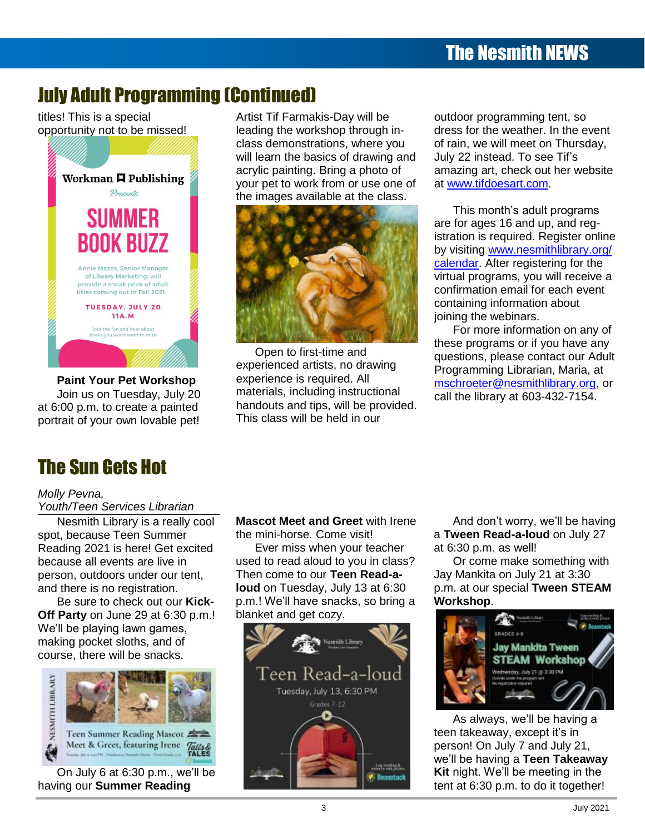## July Adult Programming (Continued)

titles! This is a special opportunity not to be missed!



**Paint Your Pet Workshop** Join us on Tuesday, July 20 portrait of your own lovable pet! This class will be held in our

Artist Tif Farmakis-Day will be leading the workshop through inclass demonstrations, where you will learn the basics of drawing and July 22 instead. To see Tif's acrylic painting. Bring a photo of Workman **H** Publishing your pet to work from or use one of at www.tifdoesart.com. *Presents* **Example 3** your performance and the class.<br>The images available at the class. acrylic painting. Bring a photo of amazing art, check out her website [s...........................................................................................................................................................](file:///C:/Users/Joyce/Documents/Nesmith/2013/Feb%202013/NN02_13.doc%23_Toc347430552)**Error! Bookmark not defined.**



at 6:00 p.m. to create a painted handouts and tips, will be provided. Open to first-time and handouts and tips, will be provided. This class will be held in our oin us on Tuesday, July 20 Thatenais, including instructional call the library at 603-432-7154.

[From the Children's Room: February Vacation Programs](file:///C:/Users/Joyce/Documents/Nesmith/2013/Feb%202013/NN02_13.doc%23_Toc347430586) ...................................................................**Error! Bookmark not defined.**

outdoor programming tent, so dress for the weather. In the event of rain, we will meet on Thursday, July 22 instead. To see Tif's at [www.tifdoesart.com.](http://www.tifdoesart.com/)

confirmation email for each event containing information about joining the webinars.

experienced artists, no drawing **Experience artists** at the contract of the final programming Librarian Maria at aint Your Pet Workshop experience is required. All **the annual seconds** is not the mechanism of the mechanism or or  $\frac{1}{2}$  music of the content point of the content of the term in the lines of the lines of the structional  $\frac{1}{2}$  call the library at 603-432-7154. For more information on any of these programs or if you have any questions, please contact our Adult Supreme Court Cases [.........................................................................................................................](file:///C:/Users/Joyce/Documents/Nesmith/2013/Feb%202013/NN02_13.doc%23_Toc347430579)**Error! Bookmark not defined.** Programming Librarian, Maria, at [mschroeter@nesmithlibrary.org,](mailto:mschroeter@nesmithlibrary.org) or

## The Sun Gets Hot

### s *Molly Pevna,*

**Youth/Teen Services Librarian** 

Nesmith Library is a really cool spot, because Teen Summer because all events are live in person, outdoors under our tent, and there is no registration.

Be sure to check out our **Kick-**



[Take the Digital Challenge...................................................................................................................](file:///C:/Users/Joyce/Documents/Nesmith/2013/Feb%202013/NN02_13.doc%23_Toc347430585)**Error! Bookmark not defined.** On July 6 at 6:30 p.m., we'll be having our **Summer Reading** 

#### The Nestle Library Cool in the News Library Cool in the News Library Cool in the News Library Cool in the News Library Cool in the News Library Cool in the News Library Cool in the News Library Cool in the News Library Coo **Mascot Meet and Greet** with Irene the mini-horse. Come visit!

Dreams [................................................................................................................................................](file:///C:/Users/Joyce/Documents/Nesmith/2013/Feb%202013/NN02_13.doc%23_Toc347430550)**Error! Bookmark not defined.** Reading 2021 is here! Get excited use all events are live in **new its and to read aloud to you in class?** Or come make something with n, outdoors under our tent, Then come to our Teen Read-a- Jay Mankita on July 21 at 3:30 nere is no registration. **Corner: A corner in the Stead is a** sector on Tuesday, July 13 at 6:30 p.m. at our special **Tween STEAM** Upcoming Young Adult Events [............................................................................................................](file:///C:/Users/Joyce/Documents/Nesmith/2013/Feb%202013/NN02_13.doc%23_Toc347430554)**Error! Bookmark not defined.** e sure to check out our **Kick-** p.m.! We'll have snacks, so bring a workshop. **Off Party** on June 29 at 6:30 p.m.! blanket and get cozy. Ever miss when your teacher **loud** on Tuesday, July 13 at 6:30 blanket and get cozy.



because Teen Summer the mini-horse. Come visit! a **Tween Read-a-loud** on July 27 And don't worry, we'll be having at 6:30 p.m. as well!

> Or come make something with Jay Mankita on July 21 at 3:30 **Workshop**.



Supreme Court Cases [.........................................................................................................................](file:///C:/Users/Joyce/Documents/Nesmith/2013/Feb%202013/NN02_13.doc%23_Toc347430579)**Error! Bookmark not defined.** teen takeaway, except it's in Meet & Greet, featuring frene Talla & **Region of the set of the first of the set of the first of the set of the set of the set of the set of the set of the set of the set of the set of the set of the set of the set of the** we'll be having a Teen Takeaway The Reference Corners and Corners and Corners and Corners and Corners and Corners and Corners and Corners and Corners and Corners and Corners and Corners and Books and Books and Corners and Corners and Corners and Corners up our **Summer Reading and the second and the second and tent at 6:30 p.m. to do it together!**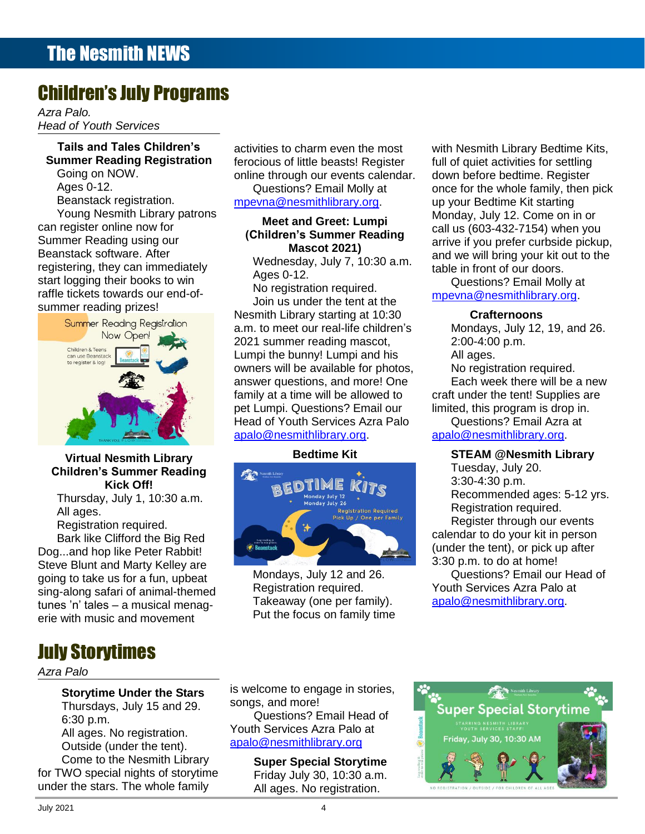### Children's July Programs

*Azra Palo. Head of Youth Services*

## **Contents Tails and Tales Children's**

of their start of their start of the mail of the mail of the start logging their books to win Ages 0-12.<br>Start logging their books to win Museum Museum and Start of the Cuestions? Email Molly at Going on NOW. Ages 0-12. Beanstack registration. can register online now for Summer Reading using our Beanstack software. After raffle tickets towards our end-ofsummer reading prizes!



#### Virtual Nesmith Library **Commental Commental Commental Commental Commental Commental Commental Commental Commenta Children's Summer Reading Kick Off!**

Thursday, July 1, 10:30 a.m. All ages.

Registration required.

Bark like Clifford the Big Red Dog...and hop like Peter Rabbit! Steve Blunt and Marty Kelley are going to take us for a fun, upbeat sing-along safari of animal-themed tunes 'n' tales – a musical menagerie with music and movement

## July Storytimes

#### *Azra Palo*

**Storytime Under the Stars** Thursdays, July 15 and 29. 6:30 p.m. All ages. No registration. under the stars. The whole family activities to charm even the most Questions? Email Molly at

## **Mascot 2021)**

Wednesday, July 7, 10:30 a.m. Ages 0-12.

The Newspield Newspield Newspield 2021 summer reading mascot, 2:00-4:00 p.m. Supreme Allien Rivens **Example 2. 2008.**<br>Can use Beanstack **Register to the computer of the bunny!** Lumpi and his All ages. Dreams [................................................................................................................................................](file:///C:/Users/Joyce/Documents/Nesmith/2013/Feb%202013/NN02_13.doc%23_Toc347430580)**Error! Bookmark not defined.** owners will be available for photos, <u>New Division will be a second both property and</u> the contract of the second both property and the second both property of the second both property and  $\alpha$ [s...........................................................................................................................................................](file:///C:/Users/Joyce/Documents/Nesmith/2013/Feb%202013/NN02_13.doc%23_Toc347430582)**Error! Bookmark not defined.** answer questions, and more! One The Reference Corner: Pollution [.........................................................................................................](file:///C:/Users/Joyce/Documents/Nesmith/2013/Feb%202013/NN02_13.doc%23_Toc347430583)**Error! Bookmark not defined.** family at a time will be allowed to Upcoming Young Adult Events [............................................................................................................](file:///C:/Users/Joyce/Documents/Nesmith/2013/Feb%202013/NN02_13.doc%23_Toc347430584)**Error! Bookmark not defined.** pet Lumpi. Questions? Email our [Take the Digital Challenge...................................................................................................................](file:///C:/Users/Joyce/Documents/Nesmith/2013/Feb%202013/NN02_13.doc%23_Toc347430585)**Error! Bookmark not defined.** Head of Youth Services Azra Palo [From the Children's Room: February Vacation Programs](file:///C:/Users/Joyce/Documents/Nesmith/2013/Feb%202013/NN02_13.doc%23_Toc347430586) ...................................................................**Error! Bookmark not defined.** Toddler Story Time [..............................................................................................................................](file:///C:/Users/Joyce/Documents/Nesmith/2013/Feb%202013/NN02_13.doc%23_Toc347430587)**Error! Bookmark not defined.** [apalo@nesmithlibrary.org.](mailto:apalo@nesmithlibrary.org) No registration required. Join us under the tent at the Nesmith Library starting at 10:30 a.m. to meet our real-life children's

#### **Bedtime Kit**



Mondays, July 12 and 26. Registration required. Takeaway (one per family). Put the focus on family time

Summer Reading Registration ferocious of little beasts! Register full of quiet activities for settling nmer Reading Registration ferocious of little beasts! Register full of quiet activities for settling oing on NOW. The same online through our events calendar. The down before bedtime. Register ges 0-12. Questions? Email Molly at once for the whole family, then pick eanstack registration. The morthlip of the morthlibrary.org. The wave bedtime Kit starting Young Nesmith Library patrons **Exercises Accepts** 2008. The Corner of the State of the State of the State of the State of the State of the State of the State of the State of the State of the State of the State of the State <u>Examples and Greet: Lumpi and the municipal resemble the currint of the currint of the currint of the currint of the currint of the currint of the currint of the currint of the currint of the currint of the currint of the</u> Equitier of the Digital Children's Summer Reading call us (603-432-7154) when you<br>References the definition of the **Children's Summer Reading** and the fine of the experimental proton of the set ner Reading using our **Commarcii** Southing Reading arrive if you prefer curbside pickup, Stack software. After **Extermines of the stack software.** After **Bookmark is a stack of the stack** software. After registering, they can immediately wednesday, July 7, 10:30 a.m. table in front of our doors. with Nesmith Library Bedtime Kits, full of quiet activities for settling down before bedtime. Register up your Bedtime Kit starting Monday, July 12. Come on in or call us (603-432-7154) when you table in front of our doors.

Questions? Email Molly at [mpevna@nesmithlibrary.org.](mailto:mpevna@nesmithlibrary.org)

#### **Crafternoons**

Mondays, July 12, 19, and 26. 2:00-4:00 p.m. All ages.

No registration required.

Each week there will be a new craft under the tent! Supplies are limited, this program is drop in.

Questions? Email Azra at [apalo@nesmithlibrary.org.](mailto:apalo@nesmithlibrary.org)

#### New Non-Fiction Titles in the Children's Room [...................................................................................](file:///C:/Users/Joyce/Documents/Nesmith/2013/Feb%202013/NN02_13.doc%23_Toc347430588)**Error! Bookmark not defined. STEAM @Nesmith Library**

Tuesday, July 20. 3:30-4:30 p.m. Recommended ages: 5-12 yrs. Registration required. Register through our events calendar to do your kit in person (under the tent), or pick up after 3:30 p.m. to do at home!

Questions? Email our Head of Youth Services Azra Palo at [apalo@nesmithlibrary.org.](mailto:apalo@nesmithlibrary.org)

is welcome to engage in stories, songs, and more!

[apalo@nesmithlibrary.org](mailto:apalo@nesmithlibrary.org)

**Super Special Storytime**